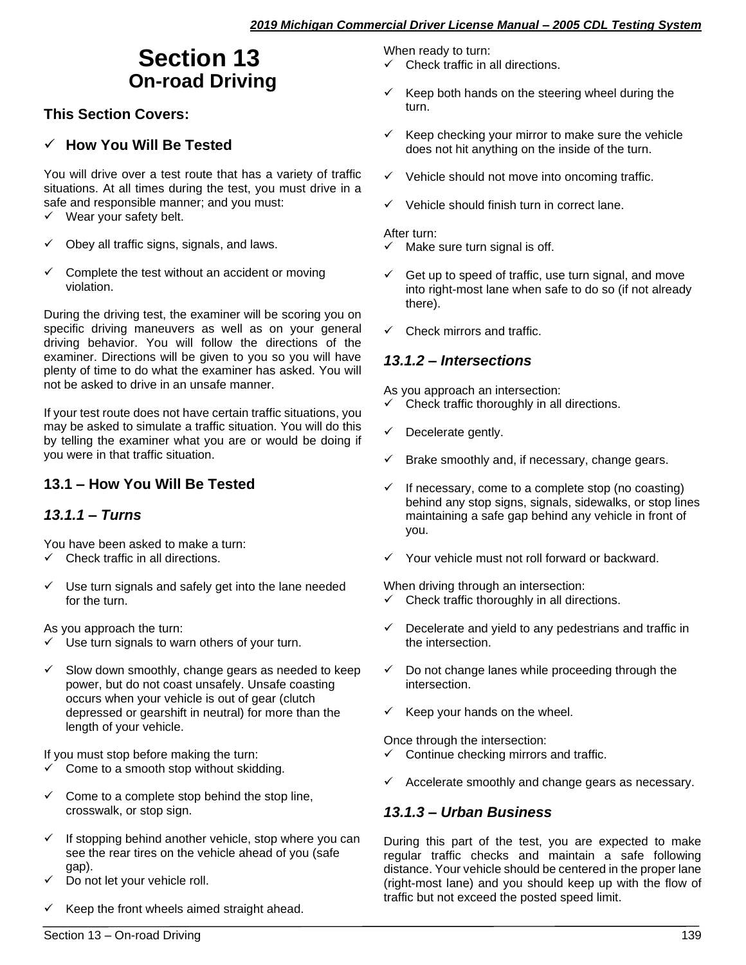# **Section 13 On-road Driving**

# **This Section Covers:**

# ✓ **How You Will Be Tested**

You will drive over a test route that has a variety of traffic situations. At all times during the test, you must drive in a safe and responsible manner; and you must:

- $\checkmark$  Wear your safety belt.
- Obey all traffic signs, signals, and laws.
- Complete the test without an accident or moving violation.

During the driving test, the examiner will be scoring you on specific driving maneuvers as well as on your general driving behavior. You will follow the directions of the examiner. Directions will be given to you so you will have plenty of time to do what the examiner has asked. You will not be asked to drive in an unsafe manner.

If your test route does not have certain traffic situations, you may be asked to simulate a traffic situation. You will do this by telling the examiner what you are or would be doing if you were in that traffic situation.

# **13.1 – How You Will Be Tested**

# *13.1.1 – Turns*

You have been asked to make a turn:

- $\checkmark$  Check traffic in all directions.
- Use turn signals and safely get into the lane needed for the turn.

As you approach the turn:

- Use turn signals to warn others of your turn.
- $\checkmark$  Slow down smoothly, change gears as needed to keep power, but do not coast unsafely. Unsafe coasting occurs when your vehicle is out of gear (clutch depressed or gearshift in neutral) for more than the length of your vehicle.

If you must stop before making the turn:

- Come to a smooth stop without skidding.
- $\checkmark$  Come to a complete stop behind the stop line, crosswalk, or stop sign.
- $\checkmark$  If stopping behind another vehicle, stop where you can see the rear tires on the vehicle ahead of you (safe gap).
- $\checkmark$  Do not let your vehicle roll.
- $\checkmark$  Keep the front wheels aimed straight ahead.

When ready to turn:

- $\checkmark$  Check traffic in all directions.
- Keep both hands on the steering wheel during the turn.
- Keep checking your mirror to make sure the vehicle does not hit anything on the inside of the turn.
- Vehicle should not move into oncoming traffic.
- Vehicle should finish turn in correct lane.

#### After turn:

- Make sure turn signal is off.
- Get up to speed of traffic, use turn signal, and move into right-most lane when safe to do so (if not already there).
- $\checkmark$  Check mirrors and traffic.

### *13.1.2 – Intersections*

As you approach an intersection:

- $\checkmark$  Check traffic thoroughly in all directions.
- $\checkmark$  Decelerate gently.
- Brake smoothly and, if necessary, change gears.
- $\checkmark$  If necessary, come to a complete stop (no coasting) behind any stop signs, signals, sidewalks, or stop lines maintaining a safe gap behind any vehicle in front of you.
- Your vehicle must not roll forward or backward.

When driving through an intersection:

- $\checkmark$  Check traffic thoroughly in all directions.
- Decelerate and yield to any pedestrians and traffic in the intersection.
- $\checkmark$  Do not change lanes while proceeding through the intersection.
- Keep your hands on the wheel.

Once through the intersection:

- $\checkmark$  Continue checking mirrors and traffic.
- Accelerate smoothly and change gears as necessary.

# *13.1.3 – Urban Business*

During this part of the test, you are expected to make regular traffic checks and maintain a safe following distance. Your vehicle should be centered in the proper lane (right-most lane) and you should keep up with the flow of traffic but not exceed the posted speed limit.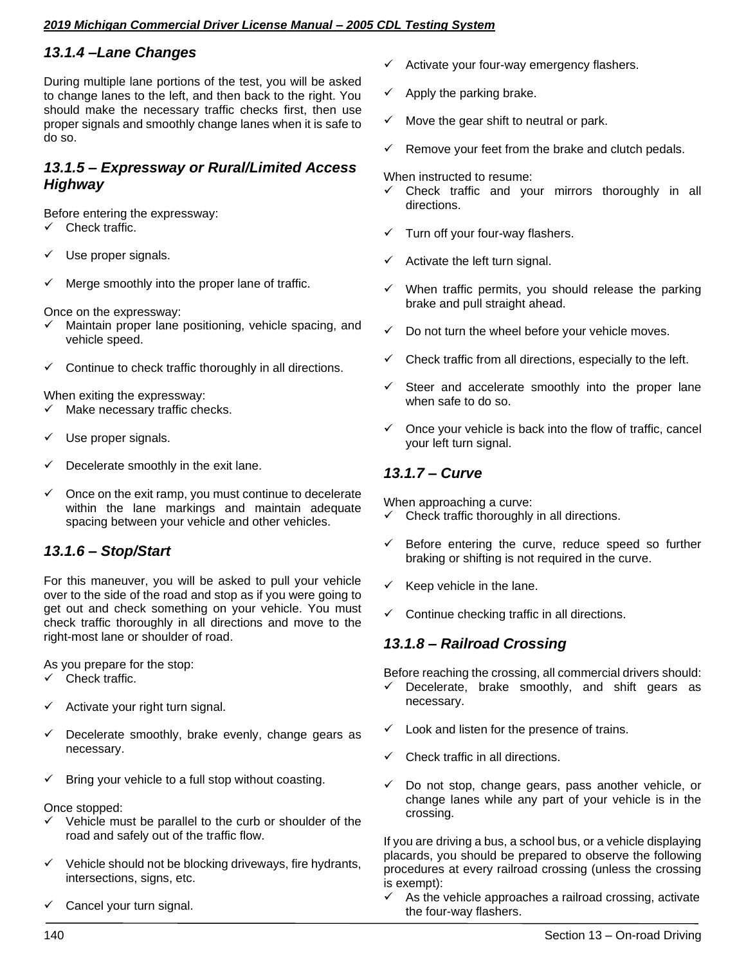#### *2019 Michigan Commercial Driver License Manual – 2005 CDL Testing System*

# *13.1.4 –Lane Changes*

During multiple lane portions of the test, you will be asked to change lanes to the left, and then back to the right. You should make the necessary traffic checks first, then use proper signals and smoothly change lanes when it is safe to do so.

### *13.1.5 – Expressway or Rural/Limited Access Highway*

Before entering the expressway:

- Check traffic.
- Use proper signals.
- Merge smoothly into the proper lane of traffic.

Once on the expressway:

- Maintain proper lane positioning, vehicle spacing, and vehicle speed.
- $\checkmark$  Continue to check traffic thoroughly in all directions.

When exiting the expressway:

- Make necessary traffic checks.
- $\checkmark$  Use proper signals.
- $\checkmark$  Decelerate smoothly in the exit lane.
- $\checkmark$  Once on the exit ramp, you must continue to decelerate within the lane markings and maintain adequate spacing between your vehicle and other vehicles.

### *13.1.6 – Stop/Start*

For this maneuver, you will be asked to pull your vehicle over to the side of the road and stop as if you were going to get out and check something on your vehicle. You must check traffic thoroughly in all directions and move to the right-most lane or shoulder of road.

As you prepare for the stop: Check traffic.

- Activate your right turn signal.
- Decelerate smoothly, brake evenly, change gears as necessary.
- $\checkmark$  Bring your vehicle to a full stop without coasting.

Once stopped:

- Vehicle must be parallel to the curb or shoulder of the road and safely out of the traffic flow.
- ✓ Vehicle should not be blocking driveways, fire hydrants, intersections, signs, etc.
- $\checkmark$  Cancel your turn signal.
- Activate your four-way emergency flashers.
- Apply the parking brake.
- Move the gear shift to neutral or park.
- Remove your feet from the brake and clutch pedals.

When instructed to resume:

- Check traffic and your mirrors thoroughly in all directions.
- ✓ Turn off your four-way flashers.
- Activate the left turn signal.
- $\checkmark$  When traffic permits, you should release the parking brake and pull straight ahead.
- Do not turn the wheel before your vehicle moves.
- Check traffic from all directions, especially to the left.
- Steer and accelerate smoothly into the proper lane when safe to do so.
- $\checkmark$  Once your vehicle is back into the flow of traffic, cancel your left turn signal.

### *13.1.7 – Curve*

When approaching a curve:

- ✓ Check traffic thoroughly in all directions.
- $\checkmark$  Before entering the curve, reduce speed so further braking or shifting is not required in the curve.
- Keep vehicle in the lane.
- Continue checking traffic in all directions.

#### *13.1.8 – Railroad Crossing*

Before reaching the crossing, all commercial drivers should:

- $\checkmark$  Decelerate, brake smoothly, and shift gears as necessary.
- Look and listen for the presence of trains.
- Check traffic in all directions.
- Do not stop, change gears, pass another vehicle, or change lanes while any part of your vehicle is in the crossing.

If you are driving a bus, a school bus, or a vehicle displaying placards, you should be prepared to observe the following procedures at every railroad crossing (unless the crossing is exempt):

 $\checkmark$  As the vehicle approaches a railroad crossing, activate the four-way flashers.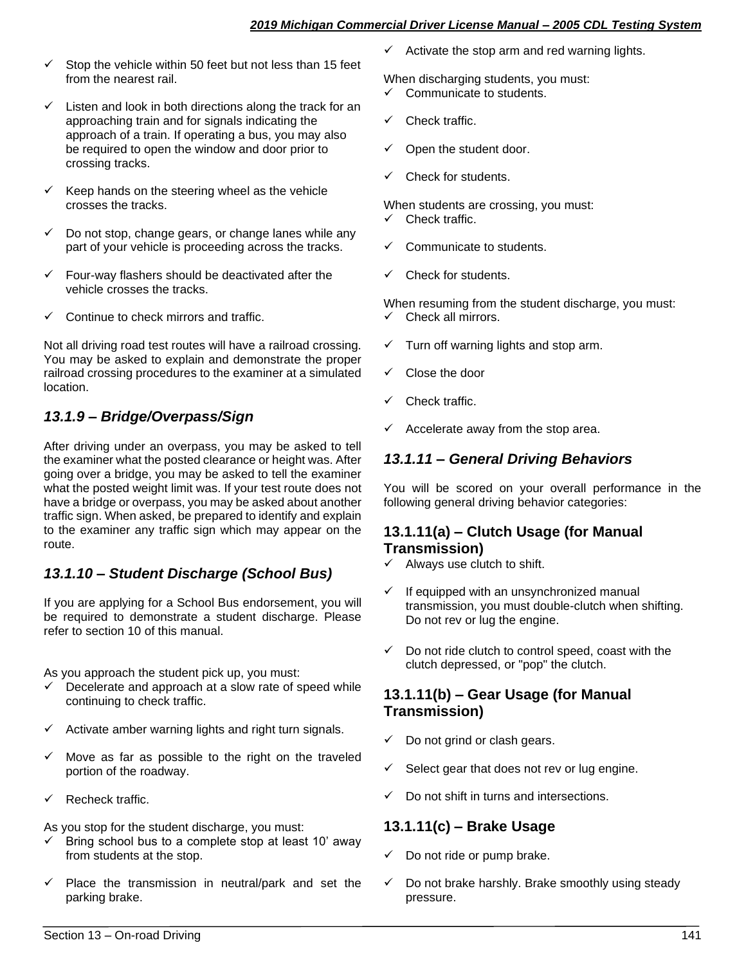#### *2019 Michigan Commercial Driver License Manual – 2005 CDL Testing System*

- $\checkmark$  Stop the vehicle within 50 feet but not less than 15 feet from the nearest rail.
- ✓ Listen and look in both directions along the track for an approaching train and for signals indicating the approach of a train. If operating a bus, you may also be required to open the window and door prior to crossing tracks.
- Keep hands on the steering wheel as the vehicle crosses the tracks.
- ✓ Do not stop, change gears, or change lanes while any part of your vehicle is proceeding across the tracks.
- $\checkmark$  Four-way flashers should be deactivated after the vehicle crosses the tracks.
- ✓ Continue to check mirrors and traffic.

Not all driving road test routes will have a railroad crossing. You may be asked to explain and demonstrate the proper railroad crossing procedures to the examiner at a simulated location.

## *13.1.9 – Bridge/Overpass/Sign*

After driving under an overpass, you may be asked to tell the examiner what the posted clearance or height was. After going over a bridge, you may be asked to tell the examiner what the posted weight limit was. If your test route does not have a bridge or overpass, you may be asked about another traffic sign. When asked, be prepared to identify and explain to the examiner any traffic sign which may appear on the route.

### *13.1.10 – Student Discharge (School Bus)*

If you are applying for a School Bus endorsement, you will be required to demonstrate a student discharge. Please refer to section 10 of this manual.

As you approach the student pick up, you must:

- Decelerate and approach at a slow rate of speed while continuing to check traffic.
- $\checkmark$  Activate amber warning lights and right turn signals.
- Move as far as possible to the right on the traveled portion of the roadway.
- Recheck traffic.

As you stop for the student discharge, you must:

- Bring school bus to a complete stop at least 10' away from students at the stop.
- $\checkmark$  Place the transmission in neutral/park and set the parking brake.

 $\checkmark$  Activate the stop arm and red warning lights.

When discharging students, you must:  $\checkmark$  Communicate to students.

- Check traffic.
- Open the student door.
- Check for students.

When students are crossing, you must:

- ✓ Check traffic.
- Communicate to students.
- Check for students.

When resuming from the student discharge, you must:  $\checkmark$  Check all mirrors.

- $\checkmark$  Turn off warning lights and stop arm.
- Close the door
- Check traffic.
- Accelerate away from the stop area.

### *13.1.11 – General Driving Behaviors*

You will be scored on your overall performance in the following general driving behavior categories:

### **13.1.11(a) – Clutch Usage (for Manual Transmission)**

- $\checkmark$  Always use clutch to shift.
- $\checkmark$  If equipped with an unsynchronized manual transmission, you must double-clutch when shifting. Do not rev or lug the engine.
- Do not ride clutch to control speed, coast with the clutch depressed, or "pop" the clutch.

### **13.1.11(b) – Gear Usage (for Manual Transmission)**

- Do not grind or clash gears.
- Select gear that does not rev or lug engine.
- Do not shift in turns and intersections.

### **13.1.11(c) – Brake Usage**

- Do not ride or pump brake.
- $\checkmark$  Do not brake harshly. Brake smoothly using steady pressure.